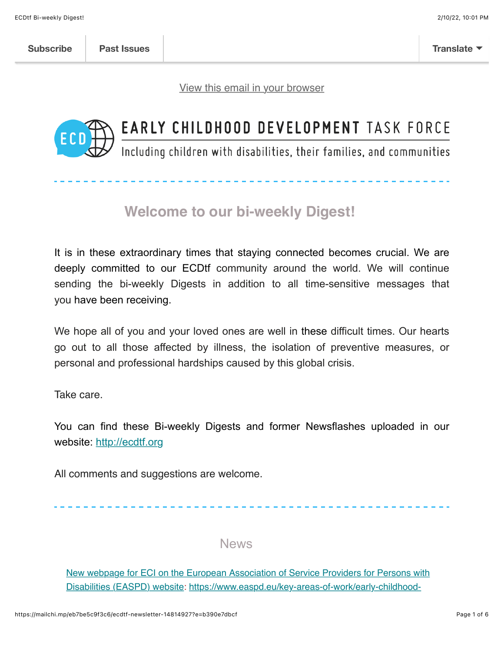[View this email in your browser](https://mailchi.mp/eb7be5c9f3c6/ecdtf-newsletter-14814927?e=b390e7dbcf)



# EARLY CHILDHOOD DEVELOPMENT TASK FORCE

Including children with disabilities, their families, and communities

### **Welcome to our bi-weekly Digest!**

It is in these extraordinary times that staying connected becomes crucial. We are deeply committed to our ECDtf community around the world. We will continue sending the bi-weekly Digests in addition to all time-sensitive messages that you have been receiving.

We hope all of you and your loved ones are well in these difficult times. Our hearts go out to all those affected by illness, the isolation of preventive measures, or personal and professional hardships caused by this global crisis.

Take care.

You can find these Bi-weekly Digests and former Newsflashes uploaded in our website: [http://ecdtf.org](http://ecdtf.org/)

All comments and suggestions are welcome.

News

[New webpage for ECI on the European Association of Service Providers for Persons with](https://www.easpd.eu/key-areas-of-work/early-childhood-intervention/) [Disabilities \(EASPD\) website: https://www.easpd.eu/key-areas-of-work/early-childhood-](https://www.easpd.eu/key-areas-of-work/early-childhood-intervention/)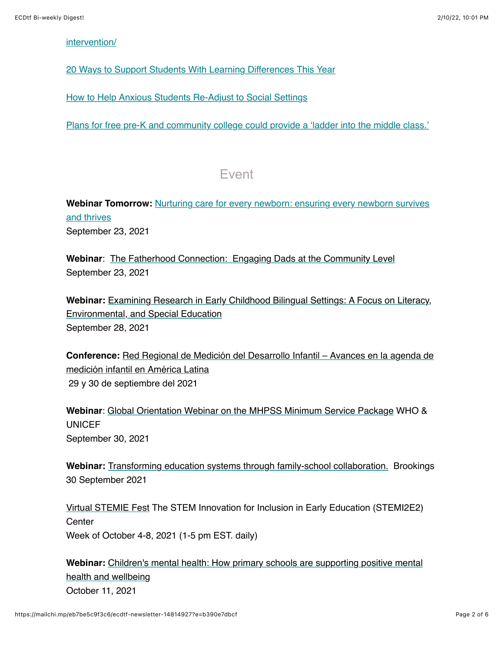#### [intervention/](https://www.easpd.eu/key-areas-of-work/early-childhood-intervention/)

[20 Ways to Support Students With Learning Differences This Year](https://www.edweek.org/teaching-learning/opinion-20-ways-to-support-students-with-learning-differences-this-year/2021/09)

[How to Help Anxious Students Re-Adjust to Social Settings](https://www.kqed.org/mindshift/58462/how-to-help-anxious-students-re-adjust-to-social-settings)

[Plans for free pre-K and community college could provide a 'ladder into the middle class.'](https://www.nytimes.com/2021/07/16/us/politics/free-pre-k-community-college.html?referringSource=articleShare&utm_source=The+Heckman+Equation&utm_campaign=47271d6cb8-EMAIL_CAMPAIGN_2019_08_23_01_40_COPY_01&utm_medium=email&utm_term=0_861cad7111-47271d6cb8-520164753)

#### Event

**Webinar Tomorrow:** [Nurturing care for every newborn: ensuring every newborn survives](https://who.zoom.us/webinar/register/WN_xddgMp7YQ9Gd8I9tJnkJDg) and thrives September 23, 2021

**Webinar**: [The Fatherhood Connection: Engaging Dads at the Community Level](https://elearn.zerotothree.org/products/virtual-event-the-fatherhood-connection-engaging-dads-at-the-community-level?utm_medium=email&utm_source=email_link&utm_content=VE_Fatherhood_09232021&utm_campaign=Q4_2021_PAMS+Virtual+Events#tab-product_tab_overview) September 23, 2021

**Webinar:** [Examining Research in Early Childhood Bilingual Settings: A Focus on Literacy,](https://childandfamilyresearch-utexas-edu.zoom.us/webinar/register/WN_McgZTEXoRoGHOKM1gIMahA?utm_campaign=UT%20System%20Early%20Childhood%20Scholars%20Series&utm_medium=email&_hsmi=157736063&_hsenc=p2ANqtz-9HgHeEehls2qf-DYpt0Q8dkK5dyayfWVNozwaj7YR_zMsiIz7XyDn7FBxCSjpWooA9woPN78fjnb--TClajN4tNOd7NA&utm_content=157736063&utm_source=hs_email) Environmental, and Special Education September 28, 2021

**Conference:** [Red Regional de Medición del Desarrollo Infantil – Avances en la agenda de](https://us02web.zoom.us/webinar/register/WN_XREr-D4MRny1FwoajZN2tg) medición infantil en América Latina 29 y 30 de septiembre del 2021

**Webinar**: [Global Orientation Webinar on the MHPSS Minimum Service Package](https://us02web.zoom.us/meeting/register/tZAuceCuqjsuHNwu92jRop9tq72lTiDVGDe1) WHO & UNICEF September 30, 2021

**Webinar:** [Transforming education systems through family-school collaboration.](https://www.brookings.edu/events/transforming-education-systems-through-family-school-collaboration/) Brookings 30 September 2021

[Virtual STEMIE Fest](https://stemie.fpg.unc.edu/stemiefest) The STEM Innovation for Inclusion in Early Education (STEMI2E2) **Center** Week of October 4-8, 2021 (1-5 pm EST. daily)

**Webinar:** [Children's mental health: How primary schools are supporting positive mental](https://cm68031-centreforcommunitychildhealth.cmail20.com/t/ViewEmail/t/E1755F64897B0E3D2540EF23F30FEDED/CA5C44BF32971E8440EE66FE10287772) health and wellbeing October 11, 2021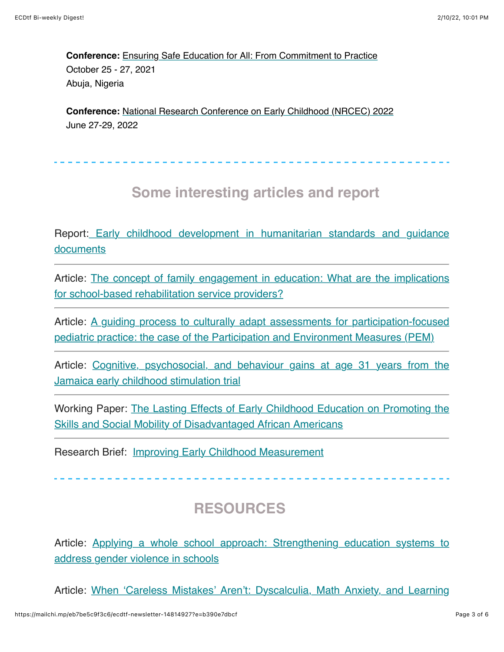**Conference:** [Ensuring Safe Education for All: From Commitment to Practice](https://ssdconference.education.gov.ng/) October 25 - 27, 2021 Abuja, Nigeria

**Conference:** [National Research Conference on Early Childhood \(NRCEC\) 2022](http://nrcec.net/?utm_content=&utm_medium=email&utm_name=&utm_source=govdelivery&utm_term=) June 27-29, 2022

## **Some interesting articles and report**

[Report: Early childhood development in humanitarian standards and guidance](https://mcusercontent.com/fdbb07179dc5a2d4ccfab37d9/files/da5f9567-4acb-6e2d-c85b-b1fe4336db38/mma_ecdie_standards_and_guidance_MPA.pdf) documents

[Article: The concept of family engagement in education: What are the implications](https://bera-journals.onlinelibrary.wiley.com/doi/10.1002/rev3.3268) for school-based rehabilitation service providers?

[Article: A guiding process to culturally adapt assessments for participation-focused](https://www.tandfonline.com/doi/full/10.1080/09638288.2021.1960645) pediatric practice: the case of the Participation and Environment Measures (PEM)

[Article: Cognitive, psychosocial, and behaviour gains at age 31 years from the](https://acamh.onlinelibrary.wiley.com/doi/10.1111/jcpp.13499?utm_source=The+Heckman+Equation&utm_campaign=47271d6cb8-EMAIL_CAMPAIGN_2019_08_23_01_40_COPY_01&utm_medium=email&utm_term=0_861cad7111-47271d6cb8-520164753) Jamaica early childhood stimulation trial

[Working Paper: The Lasting Effects of Early Childhood Education on Promoting the](https://hceconomics.uchicago.edu/research/working-paper/lasting-effects-early-childhood-education-promoting-skills-and-social?utm_source=The+Heckman+Equation&utm_campaign=47271d6cb8-EMAIL_CAMPAIGN_2019_08_23_01_40_COPY_01&utm_medium=email&utm_term=0_861cad7111-47271d6cb8-520164753) Skills and Social Mobility of Disadvantaged African Americans

Research Brief: [Improving Early Childhood Measurement](https://earlylearningnetwork.unl.edu/wp-content/uploads/2021/07/210714-Research-Brief.pdf?utm_content=&utm_medium=email&utm_name=&utm_source=govdelivery&utm_term=)

# **RESOURCES**

[Article: Applying a whole school approach: Strengthening education systems to](https://www.globalpartnership.org/blog/applying-whole-school-approach-strengthening-education-systems-address-gender-violence-schools) address gender violence in schools

[Article: When 'Careless Mistakes' Aren't: Dyscalculia, Math Anxiety, and Learning](https://www.additudemag.com/math-anxiety-dyscalculia-learning-strategies/)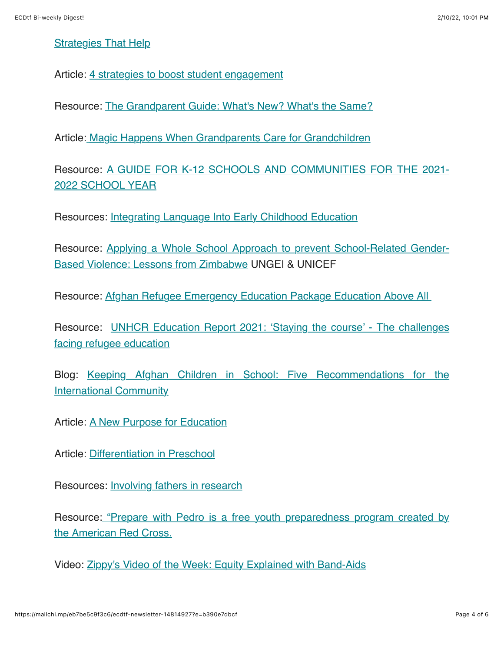#### [Strategies That Help](https://www.additudemag.com/math-anxiety-dyscalculia-learning-strategies/)

Article: [4 strategies to boost student engagement](https://www.eschoolnews.com/2021/09/07/4-strategies-to-boost-student-engagement/)

Resource: [The Grandparent Guide: What's New? What's the Same?](https://www.zerotothree.org/resources/1985-the-grandparent-guide-what-s-new-what-s-the-same)

Article: [Magic Happens When Grandparents Care for Grandchildren](https://www.parentcenterhub.org/?utm_content=&utm_medium=email&utm_name=&utm_source=govdelivery&utm_term=)

[Resource: A GUIDE FOR K-12 SCHOOLS AND COMMUNITIES FOR THE 2021-](https://sites.ed.gov/roadmap/?utm_content&utm_medium=email&utm_name&utm_source=govdelivery&utm_term) 2022 SCHOOL YEAR

Resources: [Integrating Language Into Early Childhood Education](https://ncela.ed.gov/files/briefs/TeachingPracticeBrief-EarlyChildhood-Cover-06292020.pdf?utm_content=&utm_medium=email&utm_name=&utm_source=govdelivery&utm_term=)

[Resource: Applying a Whole School Approach to prevent School-Related Gender-](https://www.ungei.org/publication/applying-whole-school-approach-prevent-SRGBV-lessons-from-Zimbabwe?emci=60d3b0af-b40b-ec11-981f-501ac57ba3ed&emdi=ea000000-0000-0000-0000-000000000001&ceid=)Based Violence: Lessons from Zimbabwe UNGEI & UNICEF

Resource: [Afghan Refugee Emergency Education Package Education Above All](https://resources.educationaboveall.org/learning-packages/refugee-response) 

[Resource: UNHCR Education Report 2021: 'Staying the course' - The challenges](https://www.unhcr.org/612f85d64/unhcr-education-report-2021-staying-course-challenges-facing-refugee-education) facing refugee education

[Blog: Keeping Afghan Children in School: Five Recommendations for the](https://www.cgdev.org/blog/keeping-afghan-children-school-five-recommendations-international-community) International Community

Article: [A New Purpose for Education](https://www.aft.org/ae/fall2021/cantor)

Article: [Differentiation in Preschool](https://www.edutopia.org/article/differentiation-preschool)

Resources: [Involving fathers in research](https://blogs.rch.org.au/ccch/2021/09/20/involving-fathers-in-research/)

[Resource: "](https://www.redcross.org/get-help/how-to-prepare-for-emergencies/teaching-kids-about-emergency-preparedness/prepare-with-pedro.html)[Prepare with Pedr](https://na01.safelinks.protection.outlook.com/?url=https%3A%2F%2Finclusivechildcare.us8.list-manage.com%2Ftrack%2Fclick%3Fu%3D7c98eab02f4b5548ba228651d%26id%3Da561652446%26e%3D36f234b26b&data=04%7C01%7C%7C2c1750f7ba214faa330008d979ec74b3%7C84df9e7fe9f640afb435aaaaaaaaaaaa%7C1%7C0%7C637674878746857938%7CUnknown%7CTWFpbGZsb3d8eyJWIjoiMC4wLjAwMDAiLCJQIjoiV2luMzIiLCJBTiI6Ik1haWwiLCJXVCI6Mn0%3D%7C1000&sdata=tXhub5zSqT1fhb4dS0NOOhhLHNIyw0SbNq2tSQzn3yY%3D&reserved=0)[o is a free youth preparedness program created by](https://www.redcross.org/get-help/how-to-prepare-for-emergencies/teaching-kids-about-emergency-preparedness/prepare-with-pedro.html) the American Red Cross.

Video: [Zippy's Video of the Week: Equity Explained with Band-Aids](https://www.ncfr.org/news/zippys-video-week-equity-explained-band-aids)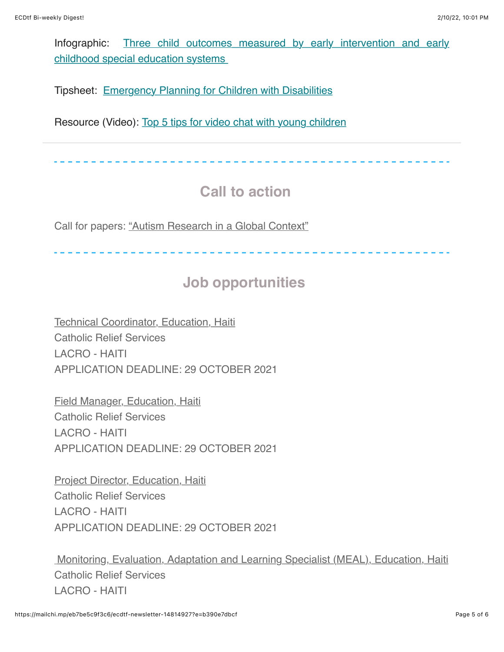[Infographic: Th](https://ectacenter.org/~pdfs/eco/three-child-outcomes-breadth.pdf?utm_content=&utm_medium=email&utm_name=&utm_source=govdelivery&utm_term=)[ree child outcomes](https://na01.safelinks.protection.outlook.com/?url=https%3A%2F%2Flnks.gd%2Fl%2FeyJhbGciOiJIUzI1NiJ9.eyJlbWFpbCI6ImtfZGllaGxAaG90bWFpbC5jb20iLCJidWxsZXRpbl9saW5rX2lkIjoiMTI1Iiwic3Vic2NyaWJlcl9pZCI6IjEyOTEzOTQ1NDQiLCJsaW5rX2lkIjoiMTU2Nzk3NDM4NSIsInVyaSI6ImJwMjpkaWdlc3QiLCJ1cmwiOiJodHRwczovL2VjdGFjZW50ZXIub3JnL2Vjby9wYWdlcy9jaGlsZG91dGNvbWVzLmFzcD91dG1fY29udGVudD0mdXRtX21lZGl1bT1lbWFpbCZ1dG1fbmFtZT0mdXRtX3NvdXJjZT1nb3ZkZWxpdmVyeSZ1dG1fdGVybT0jYnJlYWR0aCIsImJ1bGxldGluX2lkIjoiMjAyMTA5MDcuNDU1NjE5MDEifQ.xNyzrHQ-bx6zGYMwuYPWjniTVMyF0ZmwE-Q5CsKeeuY&data=04%7C01%7C%7Ce994a5b10dc6444236eb08d975ba3a19%7C84df9e7fe9f640afb435aaaaaaaaaaaa%7C1%7C0%7C637670265012858817%7CUnknown%7CTWFpbGZsb3d8eyJWIjoiMC4wLjAwMDAiLCJQIjoiV2luMzIiLCJBTiI6Ik1haWwiLCJXVCI6Mn0%3D%7C1000&sdata=WtaeAj1pT6JC4shJvsnKlJD9tLz12Dt63ZME6nWvu1U%3D&reserved=0) [measured by early intervention and early](https://ectacenter.org/~pdfs/eco/three-child-outcomes-breadth.pdf?utm_content=&utm_medium=email&utm_name=&utm_source=govdelivery&utm_term=) childhood special education systems

Tipsheet: [Emergency Planning for Children with Disabilities](https://www.inclusivechildcare.org/resource-library/tipsheet/emergency-planning-children-disabilities)

Resource (Video): [Top 5 tips for video chat with young children](https://www.firstthingsfirst.org/first-things/top-5-tips-for-video-chat-with-young-children/)

### **Call to action**

Call for papers: ["Autism Research in a Global Context"](https://journals.sagepub.com/pb-assets/cmscontent/AUT/CfP-Global-Contexts-2022-1623676536.pdf)

### **Job opportunities**

[Technical Coordinator, Education, Haiti](https://inee.org/jobs/technical-coordinator-education-haiti) Catholic Relief Services LACRO - HAITI APPLICATION DEADLINE: 29 OCTOBER 2021

[Field Manager, Education, Haiti](https://inee.org/jobs/field-manager-education-haiti) Catholic Relief Services LACRO - HAITI APPLICATION DEADLINE: 29 OCTOBER 2021

**[Project Director, Education, Haiti](https://inee.org/jobs/project-director-education-haiti)** Catholic Relief Services LACRO - HAITI APPLICATION DEADLINE: 29 OCTOBER 2021

[Monitoring, Evaluation, Adaptation and Learning Specialist \(MEAL\), Education, Haiti](https://na01.safelinks.protection.outlook.com/?url=https%3A%2F%2Finee.us5.list-manage.com%2Ftrack%2Fclick%3Fu%3Dfef0506b371181f31cc3ba467%26id%3D4b36855f87%26e%3De2d7536134&data=04%7C01%7C%7C7f9ced7fb2bc42d661fc08d97441ba48%7C84df9e7fe9f640afb435aaaaaaaaaaaa%7C1%7C0%7C637668647918131411%7CUnknown%7CTWFpbGZsb3d8eyJWIjoiMC4wLjAwMDAiLCJQIjoiV2luMzIiLCJBTiI6Ik1haWwiLCJXVCI6Mn0%3D%7C1000&sdata=OEhUjEIXw91VykyGV5Qlq4zmYo9eOP%2FTNVkPfynJfJA%3D&reserved=0) Catholic Relief Services LACRO - HAITI